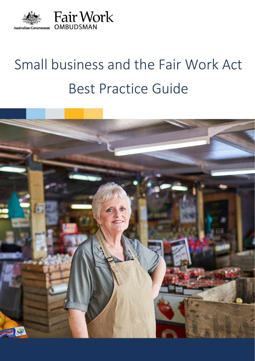

# Small business and the Fair Work Act Best Practice Guide

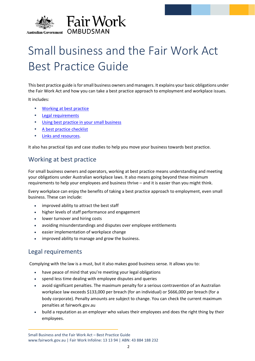

# Small business and the Fair Work Act Best Practice Guide

This best practice guide is for small business owners and managers. It explains your basic obligations under the Fair Work Act and how you can take a best practice approach to employment and workplace issues.

It includes:

- [Working](#page-1-0) at best practice
- [Legal requirements](#page-1-1)
- [Using best practice in your small business](#page-6-0)
- [A best practice checklist](#page-9-0)
- Links and [resources.](#page-11-0)

It also has practical tips and case studies to help you move your business towards best practice.

## <span id="page-1-0"></span>Working at best practice

For small business owners and operators, working at best practice means understanding and meeting your obligations under Australian workplace laws. It also means going beyond these minimum requirements to help your employees and business thrive – and it is easier than you might think.

Every workplace can enjoy the benefits of taking a best practice approach to employment, even small business. These can include:

- improved ability to attract the best staff
- higher levels of staff performance and engagement
- lower turnover and hiring costs
- avoiding misunderstandings and disputes over employee entitlements
- easier implementation of workplace change
- improved ability to manage and grow the business.

## <span id="page-1-1"></span>Legal requirements

Complying with the law is a must, but it also makes good business sense. It allows you to:

- have peace of mind that you're meeting [your legal obl](https://fairwork.gov.au/pact)igations
- spend less time dealing with employee disputes and queries
- avoid significant penalties. The maximum penalty for a serious contravention of an Australian workplace law exceeds \$133,000 per breach (for an individual) or \$666,000 per breach (for a body corporate). Penalty amounts are subject to change. You can check the current maximum penalties at fairwork.gov.au
- build a reputation as an employer who values their employees and does the right thing by their employees.

Small Business and the Fair Work Act – Best Practice Guide www.fairwork.gov.au | Fair Work Infoline: 13 13 94 | ABN: 43 884 188 232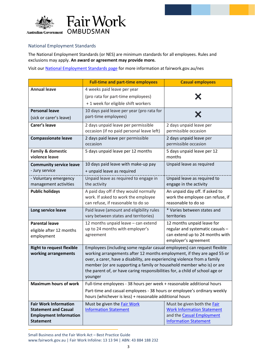

#### National Employment Standards

The National Employment Standards (or NES) are minimum standards for all employees. Rules and exclusions may apply. **An award or agreement may provide more.**

Visit our [National Employment](http://www.fairwork.gov.au/nes) Standards page for more information at fairwork.gov.au/nes

|                                  | <b>Full-time and part-time employees</b>                                                                                                              | <b>Casual employees</b>                                 |
|----------------------------------|-------------------------------------------------------------------------------------------------------------------------------------------------------|---------------------------------------------------------|
| <b>Annual leave</b>              | 4 weeks paid leave per year                                                                                                                           |                                                         |
|                                  | (pro rata for part-time employees)                                                                                                                    |                                                         |
|                                  | + 1 week for eligible shift workers                                                                                                                   |                                                         |
| <b>Personal leave</b>            | 10 days paid leave per year (pro rata for                                                                                                             |                                                         |
| (sick or carer's leave)          | part-time employees)                                                                                                                                  |                                                         |
| Carer's leave                    | 2 days unpaid leave per permissible                                                                                                                   | 2 days unpaid leave per                                 |
|                                  | occasion (if no paid personal leave left)                                                                                                             | permissible occasion                                    |
| <b>Compassionate leave</b>       | 2 days paid leave per permissible                                                                                                                     | 2 days unpaid leave per                                 |
|                                  | occasion                                                                                                                                              | permissible occasion                                    |
| <b>Family &amp; domestic</b>     | 5 days unpaid leave per 12 months                                                                                                                     | 5 days unpaid leave per 12                              |
| violence leave                   |                                                                                                                                                       | months                                                  |
| <b>Community service leave</b>   | 10 days paid leave with make-up pay                                                                                                                   | Unpaid leave as required                                |
| - Jury service                   | + unpaid leave as required                                                                                                                            |                                                         |
| - Voluntary emergency            | Unpaid leave as required to engage in                                                                                                                 | Unpaid leave as required to                             |
| management activities            | the activity                                                                                                                                          | engage in the activity                                  |
| <b>Public holidays</b>           | A paid day off if they would normally                                                                                                                 | An unpaid day off. If asked to                          |
|                                  | work. If asked to work the employee<br>can refuse, if reasonable to do so                                                                             | work the employee can refuse, if<br>reasonable to do so |
|                                  | Paid leave (amount and eligibility rules                                                                                                              | * Varies between states and                             |
| Long service leave               | vary between states and territories)                                                                                                                  | territories                                             |
| <b>Parental leave</b>            | 12 months unpaid leave - can extend                                                                                                                   | 12 months unpaid leave for                              |
| eligible after 12 months         | up to 24 months with employer's                                                                                                                       | regular and systematic casuals -                        |
| employment                       | agreement                                                                                                                                             | can extend up to 24 months with                         |
|                                  |                                                                                                                                                       | employer's agreement                                    |
| <b>Right to request flexible</b> | Employees (including some regular casual employees) can request flexible                                                                              |                                                         |
| working arrangements             | working arrangements after 12 months employment, if they are aged 55 or                                                                               |                                                         |
|                                  | over, a carer, have a disability, are experiencing violence from a family                                                                             |                                                         |
|                                  | member (or are supporting a family or household member who is) or are<br>the parent of, or have caring responsibilities for, a child of school age or |                                                         |
|                                  | younger                                                                                                                                               |                                                         |
| <b>Maximum hours of work</b>     | Full-time employees - 38 hours per week + reasonable additional hours                                                                                 |                                                         |
|                                  | Part-time and casual employees - 38 hours or employee's ordinary weekly                                                                               |                                                         |
|                                  | hours (whichever is less) + reasonable additional hours                                                                                               |                                                         |
| <b>Fair Work Information</b>     | Must be given the Fair Work                                                                                                                           | Must be given both the Fair                             |
| <b>Statement and Casual</b>      | <b>Information Statement</b>                                                                                                                          | <b>Work Information Statement</b>                       |
| <b>Employment Information</b>    |                                                                                                                                                       | and the Casual Employment                               |
| <b>Statement</b>                 |                                                                                                                                                       | <b>Information Statement</b>                            |

Small Business and the Fair Work Act – Best Practice Guide

www.fairwork.gov.au | Fair Work Infoline: 13 13 94 | ABN: 43 884 188 232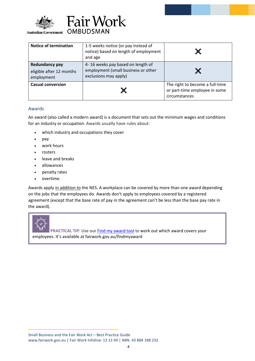



| <b>Notice of termination</b>                                    | 1-5 weeks notice (or pay instead of<br>notice) based on length of employment<br>and age           |                                                                                   |
|-----------------------------------------------------------------|---------------------------------------------------------------------------------------------------|-----------------------------------------------------------------------------------|
| <b>Redundancy pay</b><br>eligible after 12 months<br>employment | 4-16 weeks pay based on length of<br>employment (small business or other<br>exclusions may apply) |                                                                                   |
| <b>Casual conversion</b>                                        |                                                                                                   | The right to become a full-time<br>or part-time employee in some<br>circumstances |

#### Awards

An award (also called a modern award) is a document that sets out the minimum wages and conditions for an industry or occupation. Awards usually have rules about:

- which industry and occupations they cover
- pay
- work hours
- rosters
- leave and breaks
- allowances
- penalty rates
- overtime.

Awards apply in addition to the NES. A workplace can be covered by more than one award depending on the jobs that the employees do. Awards don't apply to employees covered by a registered agreement (except that the base rate of pay in the agreement can't be less than the base pay rate in the award).

**PRACTICAL TIP:** Use our Find my [award](https://www.fairwork.gov.au/findmyaward) tool to work out which award covers your employees. It's available at fairwork.gov.au/findmyaward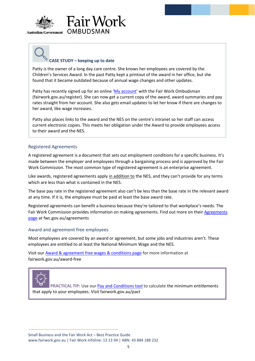



#### **CASE STUDY – keeping up to date**

Patty is the owner of a long day care centre. She knows her employees are covered by the Children's Services Award. In the past Patty kept a printout of the award in her office, but she found that it became outdated because of annual wage changes and other updates.

Patty has recently signed up for an online 'My [account'](http://www.fairwork.gov.au/register) with the Fair Work Ombudsman (fairwork.gov.au/register). She can now get a current copy of the award, award summaries and pay rates straight from her account. She also gets email updates to let her know if there are changes to her award, like wage increases.

Patty also places links to the award and the NES on the centre's intranet so her staff can access current electronic copies. This meets her obligation under the Award to provide employees access to their award and the NES.

#### Registered Agreements

A registered agreement is a document that sets out employment conditions for a specific business. It's made between the employer and employees through a bargaining process and is approved by the Fair Work Commission. The most common type of registered agreement is an enterprise agreement.

Like awards, registered agreements apply in addition to the NES, and they can't provide for any terms which are less than what is contained in the NES.

The base pay rate in the registered agreement also can't be less than the base rate in the relevant award at any time. If it is, the employee must be paid at least the base award rate.

Registered agreements can benefit a business because they're tailored to that workplace's needs. The Fair Work Commission provides information on making agreements. Find out more on their [Agreements](http://www.fwc.gov.au/agreements) page at [fwc.gov.au/agreements](http://www.fwc.gov.au/agreements) 

#### Award and agreement free employees

Most employees are covered by an award or agreement, but some jobs and industries aren't. These employees are entitled to at least the National Minimum Wage and the NES.

Visit our Award & agreement free wages & [conditions page](http://www.fairwork.gov.au/award-free) for more information at fairwork.gov.au/award-free



Small Business and the Fair Work Act – Best Practice Guide

www.fairwork.gov.au | Fair Work Infoline: 13 13 94 | ABN: 43 884 188 232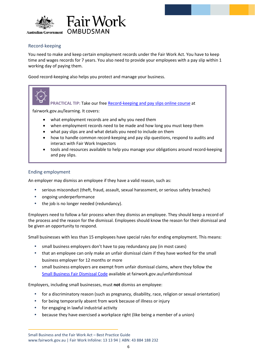



#### Record-keeping

You need to make and keep certain employment records under the Fair Work Act. You have to keep time and wages records for 7 years. You also need to provide your employees with a pay slip within 1 working day of paying them.

Good record-keeping also helps you protect and manage your business.



**PRACTICAL TIP:** Take our free [Record-keeping](https://www.fairwork.gov.au/learning) and pay slips online course at

fairwork.gov.au/learning. It covers:

- what employment records are and why you need them
- when employment records need to be made and how long you must keep them
- what pay slips are and what details you need to include on them
- how to handle common record-keeping and pay slip questions, respond to audits and interact with Fair Work Inspectors
- tools and resources available to help you manage your obligations around record-keeping and pay slips.

#### Ending employment

An employer may dismiss an employee if they have a valid reason, such as:

- serious misconduct (theft, fraud, assault, sexual harassment, or serious safety breaches)
- ongoing underperformance
- the job is no longer needed (redundancy).

Employers need to follow a fair process when they dismiss an employee. They should keep a record of the process and the reason for the dismissal. Employees should know the reason for their dismissal and be given an opportunity to respond.

Small businesses with less than 15 employees have special rules for ending employment. This means:

- small business employers don't have to pay redundancy pay (in most cases)
- that an employee can only make an unfair dismissal claim if they have worked for the small business employer for 12 months or more
- small business employers are exempt from unfair dismissal claims, where they follow the [Small Business Fair](http://www.fairwork.gov.au/unfairdismissal) Dismissal Code available at fairwork.gov.au/unfairdismissal

Employers, including small businesses, must **not** dismiss an employee:

- for a discriminatory reason (such as pregnancy, disability, race, religion or sexual orientation)
- for being temporarily absent from work because of illness or injury
- for engaging in lawful industrial activity
- because they have exercised a workplace right (like being a member of a union)

Small Business and the Fair Work Act – Best Practice Guide

www.fairwork.gov.au | Fair Work Infoline: 13 13 94 | ABN: 43 884 188 232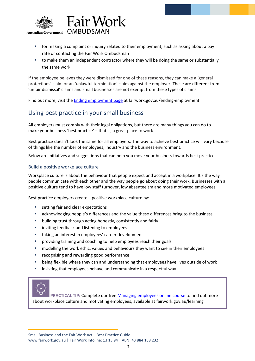

- for making a complaint or inquiry related to their employment, such as asking about a pay rate or contacting the Fair Work Ombudsman
- to make them an independent contractor where they will be doing the same or substantially the same work.

If the employee believes they were dismissed for one of these reasons, they can make a 'general protections' claim or an 'unlawful termination' claim against the employer. These are different from 'unfair dismissal' claims and small businesses are not exempt from these types of claims.

Find out more, visit the Ending [employment](https://www.fairwork.gov.au/ending-employment) page at fairwork.gov.au/ending-employment

# <span id="page-6-0"></span>Using best practice in your small business

All employers must comply with their legal obligations, but there are many things you can do to make your business 'best practice' – that is, a great place to work.

Best practice doesn't look the same for all employers. The way to achieve best practice will vary because of things like the number of employees, industry and the business environment.

Below are initiatives and suggestions that can help you move your business towards best practice.

#### Build a positive workplace culture

Workplace culture is about the behaviour that people expect and accept in a workplace. It's the way people communicate with each other and the way people go about doing their work. Businesses with a positive culture tend to have low staff turnover, low absenteeism and more motivated employees.

Best practice employers create a positive workplace culture by:

- setting fair and clear expectations
- acknowledging people's differences and the value these differences bring to the business
- building trust through acting honestly, consistently and fairly
- inviting feedback and listening to employees
- taking an interest in employees' career development
- providing training and coaching to help employees reach their goals
- modelling the work ethic, values and behaviours they want to see in their employees
- recognising and rewarding good performance
- being flexible where they can and understanding that employees have lives outside of work
- insisting that employees behave and communicate in a respectful way.



**PRACTICAL TIP:** Complete our free Managing [employees online](https://www.fairwork.gov.au/learning) course to find out more about workplace culture and motivating employees, available at fairwork.gov.au/learning

Small Business and the Fair Work Act – Best Practice Guide www.fairwork.gov.au | Fair Work Infoline: 13 13 94 | ABN: 43 884 188 232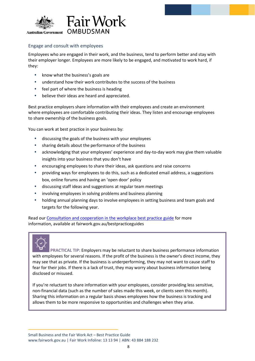

#### Engage and consult with employees

Employees who are engaged in their work, and the business, tend to perform better and stay with their employer longer. Employees are more likely to be engaged, and motivated to work hard, if they:

- know what the business's goals are
- understand how their work contributes to the success of the business
- feel part of where the business is heading
- believe their ideas are heard and appreciated.

Best practice employers share information with their employees and create an environment where employees are comfortable contributing their ideas. They listen and encourage employees to share ownership of the business goals.

You can work at best practice in your business by:

- discussing the goals of the business with your employees
- sharing details about the performance of the business
- acknowledging that your employees' experience and day-to-day work may give them valuable insights into your business that you don't have
- encouraging employees to share their ideas, ask questions and raise concerns
- providing ways for employees to do this, such as a dedicated email address, a suggestions box, online forums and having an 'open door' policy
- discussing staff ideas and suggestions at regular team meetings
- involving employees in solving problems and business planning
- holding annual planning days to involve employees in setting business and team goals and targets for the following year.

Read our [Consultation](https://www.fairwork.gov.au/bestpracticeguides) and cooperation in the workplace best practice guide for more information, available at fairwork.gov.au/bestpracticeguides



**PRACTICAL TIP:** Employers may be reluctant to share business performance information with employees for several reasons. If the profit of the business is the owner's direct income, they may see that as private. If the business is underperforming, they may not want to cause staff to fear for their jobs. If there is a lack of trust, they may worry about business information being disclosed or misused.

If you're reluctant to share information with your employees, consider providing less sensitive, non-financial data (such as the number of sales made this week, or clients seen this month). Sharing this information on a regular basis shows employees how the business is tracking and allows them to be more responsive to opportunities and challenges when they arise.

Small Business and the Fair Work Act – Best Practice Guide www.fairwork.gov.au | Fair Work Infoline: 13 13 94 | ABN: 43 884 188 232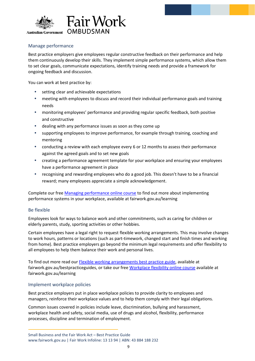



#### Manage performance

Best practice employers give employees regular constructive feedback on their performance and help them continuously develop their skills. They implement simple performance systems, which allow them to set clear goals, communicate expectations, identify training needs and provide a framework for ongoing feedback and discussion.

You can work at best practice by:

- setting clear and achievable expectations
- meeting with employees to discuss and record their individual performance goals and training needs
- monitoring employees' performance and providing regular specific feedback, both positive and constructive
- dealing with any performance issues as soon as they come up
- supporting employees to improve performance, for example through training, coaching and mentoring
- conducting a review with each employee every 6 or 12 months to assess their performance against the agreed goals and to set new goals
- creating a performance agreement template for your workplace and ensuring your employees have a performance agreement in place
- recognising and rewarding employees who do a good job. This doesn't have to be a financial reward; many employees appreciate a simple acknowledgement.

Complete our free Managing [performance](https://www.fairwork.gov.au/learning) online course to find out more about implementing performance systems in your workplace, available at fairwork.gov.au/learning

#### Be flexible

Employees look for ways to balance work and other commitments, such as caring for children or elderly parents, study, sporting activities or other hobbies.

Certain employees have a legal right to request flexible working arrangements. This may involve changes to work hours, patterns or locations (such as part-timework, changed start and finish times and working from home). Best practice employers go beyond the minimum legal requirements and offer flexibility to all employees to help them balance their work and personal lives.

To find out more read our Flexible working [arrangements best](http://www.fairwork.gov.au/bestpracticeguides) practice guide, [available](http://www.fairwork.gov.au/learning) at fairwork.gov.au/bestpracticeguides, or take our free Workplace flexibility online course available at fairwork.gov.au/learning

#### Implement workplace policies

Best practice employers put in place workplace policies to provide clarity to employees and managers, reinforce their workplace values and to help them comply with their legal obligations.

Common issues covered in policies include leave, discrimination, bullying and harassment, workplace health and safety, social media, use of drugs and alcohol, flexibility, performance processes, discipline and termination of employment.

Small Business and the Fair Work Act – Best Practice Guide www.fairwork.gov.au | Fair Work Infoline: 13 13 94 | ABN: 43 884 188 232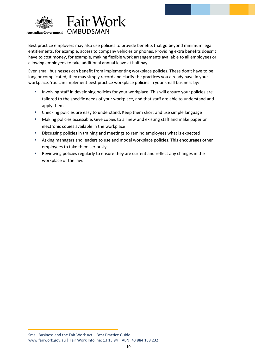



Best practice employers may also use policies to provide benefits that go beyond minimum legal entitlements, for example, access to company vehicles or phones. Providing extra benefits doesn't have to cost money, for example, making flexible work arrangements available to all employees or allowing employees to take additional annual leave at half pay.

Even small businesses can benefit from implementing workplace policies. These don't have to be long or complicated, they may simply record and clarify the practices you already have in your workplace. You can implement best practice workplace policies in your small business by:

- Involving staff in developing policies for your workplace. This will ensure your policies are tailored to the specific needs of your workplace, and that staff are able to understand and apply them
- Checking policies are easy to understand. Keep them short and use simple language
- Making policies accessible. Give copies to all new and existing staff and make paper or electronic copies available in the workplace
- Discussing policies in training and meetings to remind employees what is expected
- Asking managers and leaders to use and model workplace policies. This encourages other employees to take them seriously
- <span id="page-9-0"></span> Reviewing policies regularly to ensure they are current and reflect any changes in the workplace or the law.

Small Business and the Fair Work Act – Best Practice Guide www.fairwork.gov.au | Fair Work Infoline: 13 13 94 | ABN: 43 884 188 232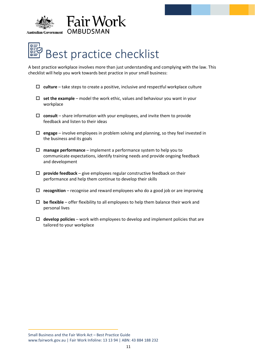





A best practice workplace involves more than just understanding and complying with the law. This checklist will help you work towards best practice in your small business:

- **culture** take steps to create a positive, inclusive and respectful workplace culture
- **set the example** model the work ethic, values and behaviour you want in your workplace
- **consult** share information with your employees, and invite them to provide feedback and listen to their ideas
- **engage** involve employees in problem solving and planning, so they feel invested in the business and its goals
- **manage performance** implement a performance system to help you to communicate expectations, identify training needs and provide ongoing feedback and development
- **provide feedback** give employees regular constructive feedback on their performance and help them continue to develop their skills
- **recognition** recognise and reward employees who do a good job or are improving
- $\Box$  be flexible offer flexibility to all employees to help them balance their work and personal lives
- $\Box$  **develop policies** work with employees to develop and implement policies that are tailored to your workplace

Small Business and the Fair Work Act – Best Practice Guide

www.fairwork.gov.au | Fair Work Infoline: 13 13 94 | ABN: 43 884 188 232